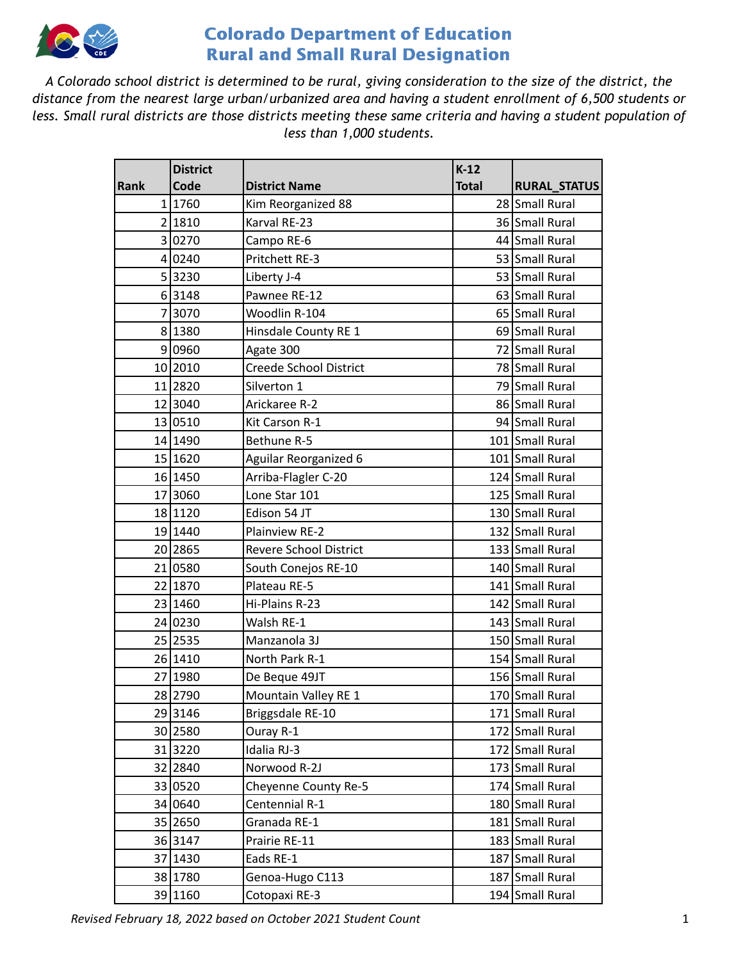

A Colorado school district is determined to be rural, giving consideration to the size of the district, the *distance from the nearest large urban/urbanized area and having a student enrollment of 6,500 students or* less. Small rural districts are those districts meeting these same criteria and having a student population of *less than 1,000 students.*

|             | <b>District</b> |                               | $K-12$       |                     |
|-------------|-----------------|-------------------------------|--------------|---------------------|
| <b>Rank</b> | Code            | <b>District Name</b>          | <b>Total</b> | <b>RURAL_STATUS</b> |
|             | 1 1760          | Kim Reorganized 88            |              | 28 Small Rural      |
|             | 2 1810          | Karval RE-23                  |              | 36 Small Rural      |
|             | 3 0270          | Campo RE-6                    |              | 44 Small Rural      |
|             | 4 0240          | Pritchett RE-3                |              | 53 Small Rural      |
|             | 53230           | Liberty J-4                   |              | 53 Small Rural      |
|             | 63148           | Pawnee RE-12                  |              | 63 Small Rural      |
|             | 73070           | Woodlin R-104                 |              | 65 Small Rural      |
|             | 8 1380          | Hinsdale County RE 1          |              | 69 Small Rural      |
|             | 9 0960          | Agate 300                     |              | 72 Small Rural      |
|             | 10 2010         | <b>Creede School District</b> |              | 78 Small Rural      |
|             | 11 2820         | Silverton 1                   |              | 79 Small Rural      |
|             | 12 3040         | Arickaree R-2                 |              | 86 Small Rural      |
|             | 13 0510         | Kit Carson R-1                |              | 94 Small Rural      |
|             | 14 1490         | Bethune R-5                   |              | 101 Small Rural     |
|             | 15 1620         | <b>Aguilar Reorganized 6</b>  |              | 101 Small Rural     |
|             | 16 1450         | Arriba-Flagler C-20           |              | 124 Small Rural     |
|             | 17 3060         | Lone Star 101                 |              | 125 Small Rural     |
|             | 18 1120         | Edison 54 JT                  |              | 130 Small Rural     |
|             | 19 1440         | Plainview RE-2                |              | 132 Small Rural     |
|             | 20 2865         | <b>Revere School District</b> |              | 133 Small Rural     |
|             | 21 0580         | South Conejos RE-10           |              | 140 Small Rural     |
|             | 22 1870         | Plateau RE-5                  |              | 141 Small Rural     |
|             | 23 1460         | Hi-Plains R-23                |              | 142 Small Rural     |
|             | 24 0230         | Walsh RE-1                    |              | 143 Small Rural     |
|             | 25 2535         | Manzanola 3J                  |              | 150 Small Rural     |
|             | 26 1410         | North Park R-1                |              | 154 Small Rural     |
|             | 27 1980         | De Beque 49JT                 |              | 156 Small Rural     |
|             | 28 2790         | Mountain Valley RE 1          |              | 170 Small Rural     |
|             | 29 3146         | Briggsdale RE-10              |              | 171 Small Rural     |
|             | 30 2580         | Ouray R-1                     |              | 172 Small Rural     |
|             | 31 3220         | Idalia RJ-3                   |              | 172 Small Rural     |
|             | 32 2840         | Norwood R-2J                  |              | 173 Small Rural     |
|             | 33 0520         | Cheyenne County Re-5          |              | 174 Small Rural     |
|             | 34 0640         | Centennial R-1                |              | 180 Small Rural     |
|             | 35 2650         | Granada RE-1                  |              | 181 Small Rural     |
|             | 36 3147         | Prairie RE-11                 |              | 183 Small Rural     |
|             | 37 1430         | Eads RE-1                     |              | 187 Small Rural     |
|             | 38 1780         | Genoa-Hugo C113               |              | 187 Small Rural     |
|             | 39 1160         | Cotopaxi RE-3                 |              | 194 Small Rural     |

*Revised February 18, 2022 based on October 2021 Student Count* 1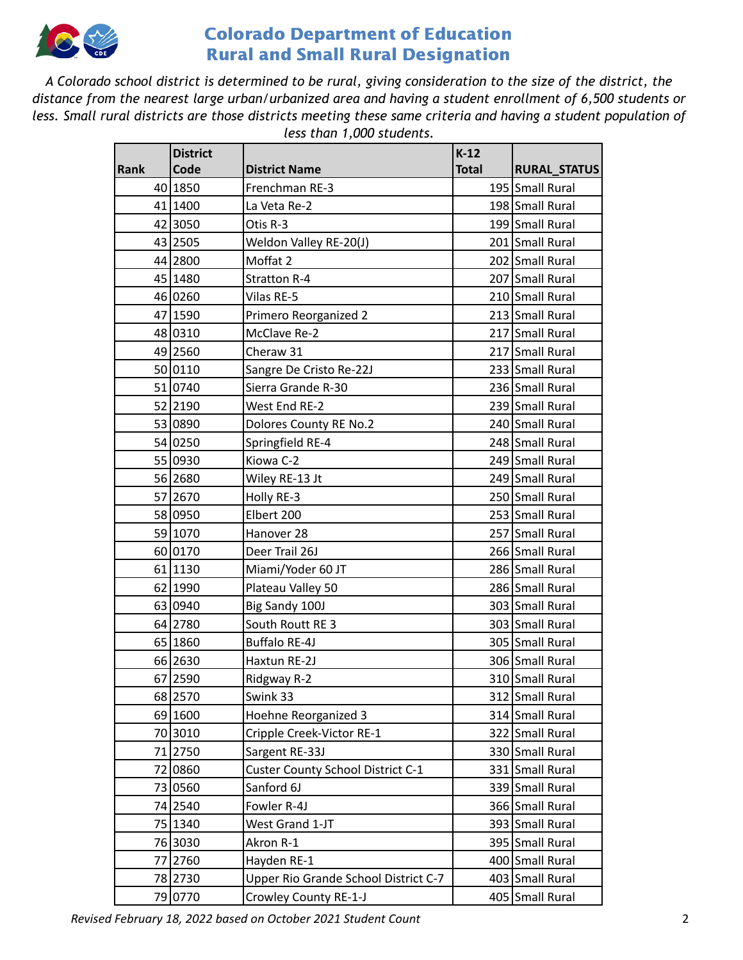

A Colorado school district is determined to be rural, giving consideration to the size of the district, the *distance from the nearest large urban/urbanized area and having a student enrollment of 6,500 students or* less. Small rural districts are those districts meeting these same criteria and having a student population of *less than 1,000 students.*

|             | <b>District</b> |                                      | $K-12$       |                     |
|-------------|-----------------|--------------------------------------|--------------|---------------------|
| <b>Rank</b> | Code            | <b>District Name</b>                 | <b>Total</b> | <b>RURAL_STATUS</b> |
|             | 40 1850         | Frenchman RE-3                       |              | 195 Small Rural     |
|             | 41 1400         | La Veta Re-2                         |              | 198 Small Rural     |
|             | 42 3050         | Otis R-3                             |              | 199 Small Rural     |
|             | 43 2505         | Weldon Valley RE-20(J)               |              | 201 Small Rural     |
|             | 44 2800         | Moffat 2                             |              | 202 Small Rural     |
|             | 45 1480         | <b>Stratton R-4</b>                  |              | 207 Small Rural     |
|             | 46 0260         | Vilas RE-5                           |              | 210 Small Rural     |
|             | 47 1590         | Primero Reorganized 2                |              | 213 Small Rural     |
|             | 48 0310         | McClave Re-2                         |              | 217 Small Rural     |
|             | 49 2560         | Cheraw 31                            |              | 217 Small Rural     |
|             | 50 0110         | Sangre De Cristo Re-22J              |              | 233 Small Rural     |
|             | 51 0740         | Sierra Grande R-30                   |              | 236 Small Rural     |
|             | 52 2190         | West End RE-2                        |              | 239 Small Rural     |
|             | 53 0890         | Dolores County RE No.2               |              | 240 Small Rural     |
|             | 54 0250         | Springfield RE-4                     |              | 248 Small Rural     |
|             | 55 0930         | Kiowa C-2                            |              | 249 Small Rural     |
|             | 56 2680         | Wiley RE-13 Jt                       |              | 249 Small Rural     |
|             | 57 2670         | Holly RE-3                           |              | 250 Small Rural     |
|             | 58 0950         | Elbert 200                           |              | 253 Small Rural     |
|             | 59 1070         | Hanover 28                           |              | 257 Small Rural     |
|             | 60 0170         | Deer Trail 26J                       |              | 266 Small Rural     |
|             | 61 1130         | Miami/Yoder 60 JT                    |              | 286 Small Rural     |
|             | 62 1990         | Plateau Valley 50                    |              | 286 Small Rural     |
|             | 63 0940         | Big Sandy 100J                       |              | 303 Small Rural     |
|             | 64 2780         | South Routt RE 3                     |              | 303 Small Rural     |
|             | 65 1860         | <b>Buffalo RE-4J</b>                 |              | 305 Small Rural     |
|             | 66 2630         | Haxtun RE-2J                         |              | 306 Small Rural     |
|             | 67 2590         | Ridgway R-2                          |              | 310 Small Rural     |
|             | 68 2570         | Swink 33                             |              | 312 Small Rural     |
|             | 69 1600         | Hoehne Reorganized 3                 |              | 314 Small Rural     |
|             | 70 3010         | Cripple Creek-Victor RE-1            |              | 322 Small Rural     |
|             | 71 2750         | Sargent RE-33J                       |              | 330 Small Rural     |
|             | 72 0860         | Custer County School District C-1    |              | 331 Small Rural     |
|             | 73 0560         | Sanford 6J                           |              | 339 Small Rural     |
|             | 74 2540         | Fowler R-4J                          |              | 366 Small Rural     |
|             | 75 1340         | West Grand 1-JT                      |              | 393 Small Rural     |
|             | 76 3030         | Akron R-1                            |              | 395 Small Rural     |
|             | 77 2760         | Hayden RE-1                          |              | 400 Small Rural     |
|             | 78 2730         | Upper Rio Grande School District C-7 |              | 403 Small Rural     |
|             | 79 0770         | Crowley County RE-1-J                |              | 405 Small Rural     |

*Revised February 18, 2022 based on October 2021 Student Count* 2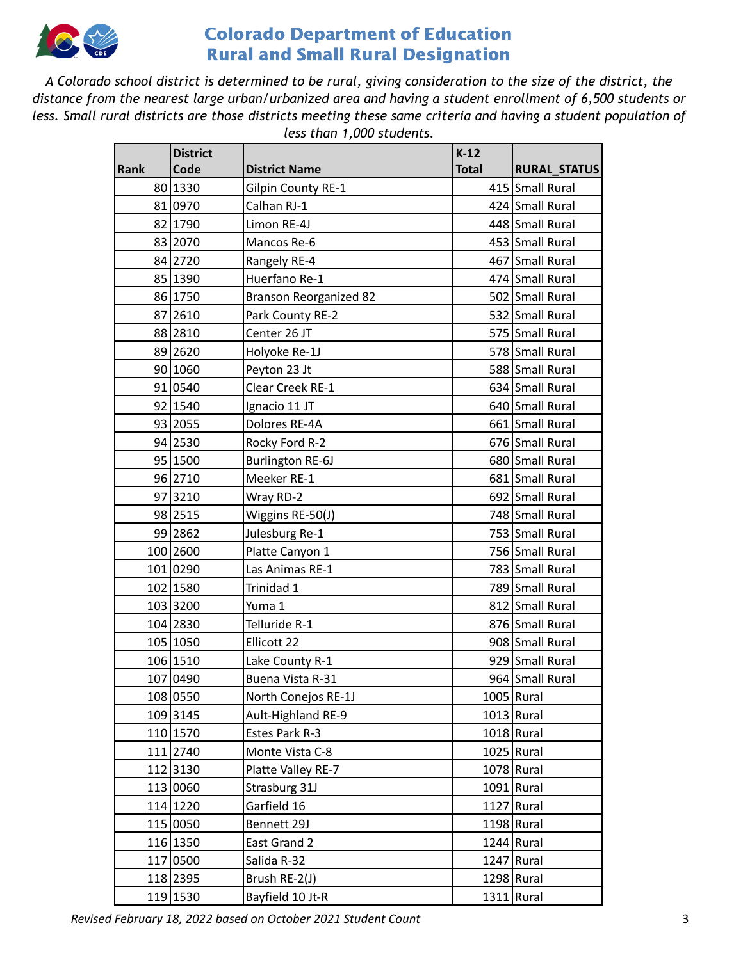

A Colorado school district is determined to be rural, giving consideration to the size of the district, the *distance from the nearest large urban/urbanized area and having a student enrollment of 6,500 students or* less. Small rural districts are those districts meeting these same criteria and having a student population of *less than 1,000 students.*

|      | <b>District</b> |                               | $K-12$       |                     |
|------|-----------------|-------------------------------|--------------|---------------------|
| Rank | Code            | <b>District Name</b>          | <b>Total</b> | <b>RURAL_STATUS</b> |
|      | 80 1330         | <b>Gilpin County RE-1</b>     |              | 415 Small Rural     |
|      | 81 0970         | Calhan RJ-1                   |              | 424 Small Rural     |
|      | 82 1790         | Limon RE-4J                   |              | 448 Small Rural     |
|      | 83 2070         | Mancos Re-6                   |              | 453 Small Rural     |
|      | 84 2720         | Rangely RE-4                  |              | 467 Small Rural     |
|      | 85 1390         | Huerfano Re-1                 |              | 474 Small Rural     |
|      | 86 1750         | <b>Branson Reorganized 82</b> |              | 502 Small Rural     |
|      | 87 2610         | Park County RE-2              |              | 532 Small Rural     |
|      | 88 2810         | Center 26 JT                  |              | 575 Small Rural     |
|      | 89 2620         | Holyoke Re-1J                 |              | 578 Small Rural     |
|      | 90 1060         | Peyton 23 Jt                  |              | 588 Small Rural     |
|      | 91 0540         | Clear Creek RE-1              |              | 634 Small Rural     |
|      | 92 1540         | Ignacio 11 JT                 |              | 640 Small Rural     |
|      | 93 2055         | Dolores RE-4A                 |              | 661 Small Rural     |
|      | 94 2530         | Rocky Ford R-2                |              | 676 Small Rural     |
|      | 95 1500         | <b>Burlington RE-6J</b>       |              | 680 Small Rural     |
|      | 96 2710         | Meeker RE-1                   |              | 681 Small Rural     |
|      | 97 3210         | Wray RD-2                     |              | 692 Small Rural     |
|      | 98 2515         | Wiggins RE-50(J)              |              | 748 Small Rural     |
|      | 99 2862         | Julesburg Re-1                |              | 753 Small Rural     |
|      | 100 2600        | Platte Canyon 1               |              | 756 Small Rural     |
|      | 101 0290        | Las Animas RE-1               |              | 783 Small Rural     |
|      | 102 1580        | Trinidad 1                    |              | 789 Small Rural     |
|      | 103 3200        | Yuma 1                        |              | 812 Small Rural     |
|      | 104 2830        | Telluride R-1                 |              | 876 Small Rural     |
|      | 105 1050        | Ellicott 22                   |              | 908 Small Rural     |
|      | 106 1510        | Lake County R-1               |              | 929 Small Rural     |
|      | 107 0490        | Buena Vista R-31              |              | 964 Small Rural     |
|      | 108 0550        | North Conejos RE-1J           |              | 1005 Rural          |
|      | 109 3145        | Ault-Highland RE-9            |              | $1013$ Rural        |
|      | 110 1570        | Estes Park R-3                |              | $1018$ Rural        |
|      | 111 2740        | Monte Vista C-8               |              | $1025$ Rural        |
|      | 112 3130        | Platte Valley RE-7            |              | $1078$ Rural        |
|      | 113 0060        | Strasburg 31J                 |              | $1091$ Rural        |
|      | 114 1220        | Garfield 16                   |              | $1127$ Rural        |
|      | 115 0050        | Bennett 29J                   |              | 1198 Rural          |
|      | 116 1350        | East Grand 2                  |              | $1244$ Rural        |
|      | 117 0500        | Salida R-32                   |              | $1247$ Rural        |
|      | 118 2395        | Brush RE-2(J)                 |              | $1298$ Rural        |
|      | 119 1530        | Bayfield 10 Jt-R              |              | $1311$ Rural        |

*Revised February 18, 2022 based on October 2021 Student Count* 3